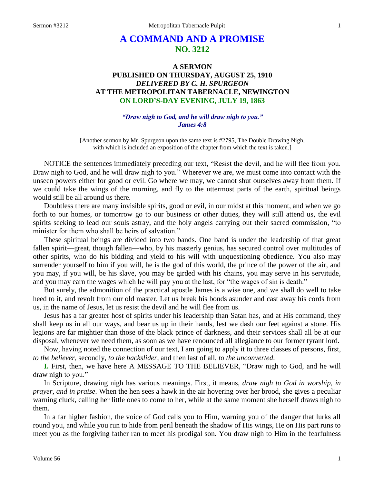# **A COMMAND AND A PROMISE NO. 3212**

# **A SERMON PUBLISHED ON THURSDAY, AUGUST 25, 1910** *DELIVERED BY C. H. SPURGEON* **AT THE METROPOLITAN TABERNACLE, NEWINGTON ON LORD'S-DAY EVENING, JULY 19, 1863**

#### *"Draw nigh to God, and he will draw nigh to you." James 4:8*

[Another sermon by Mr. Spurgeon upon the same text is #2795, The Double Drawing Nigh, with which is included an exposition of the chapter from which the text is taken.]

NOTICE the sentences immediately preceding our text, "Resist the devil, and he will flee from you. Draw nigh to God, and he will draw nigh to you." Wherever we are, we must come into contact with the unseen powers either for good or evil. Go where we may, we cannot shut ourselves away from them. If we could take the wings of the morning, and fly to the uttermost parts of the earth, spiritual beings would still be all around us there.

Doubtless there are many invisible spirits, good or evil, in our midst at this moment, and when we go forth to our homes, or tomorrow go to our business or other duties, they will still attend us, the evil spirits seeking to lead our souls astray, and the holy angels carrying out their sacred commission, "to minister for them who shall be heirs of salvation."

These spiritual beings are divided into two bands. One band is under the leadership of that great fallen spirit—great, though fallen—who, by his masterly genius, has secured control over multitudes of other spirits, who do his bidding and yield to his will with unquestioning obedience. You also may surrender yourself to him if you will, he is the god of this world, the prince of the power of the air, and you may, if you will, be his slave, you may be girded with his chains, you may serve in his servitude, and you may earn the wages which he will pay you at the last, for "the wages of sin is death."

But surely, the admonition of the practical apostle James is a wise one, and we shall do well to take heed to it, and revolt from our old master. Let us break his bonds asunder and cast away his cords from us, in the name of Jesus, let us resist the devil and he will flee from us.

Jesus has a far greater host of spirits under his leadership than Satan has, and at His command, they shall keep us in all our ways, and bear us up in their hands, lest we dash our feet against a stone. His legions are far mightier than those of the black prince of darkness, and their services shall all be at our disposal, whenever we need them, as soon as we have renounced all allegiance to our former tyrant lord.

Now, having noted the connection of our text, I am going to apply it to three classes of persons, first, *to the believer,* secondly, *to the backslider,* and then last of all, *to the unconverted*.

**I.** First, then, we have here A MESSAGE TO THE BELIEVER, "Draw nigh to God, and he will draw nigh to you."

In Scripture, drawing nigh has various meanings. First, it means, *draw nigh to God in worship, in prayer, and in praise*. When the hen sees a hawk in the air hovering over her brood, she gives a peculiar warning cluck, calling her little ones to come to her, while at the same moment she herself draws nigh to them.

In a far higher fashion, the voice of God calls you to Him, warning you of the danger that lurks all round you, and while you run to hide from peril beneath the shadow of His wings, He on His part runs to meet you as the forgiving father ran to meet his prodigal son. You draw nigh to Him in the fearfulness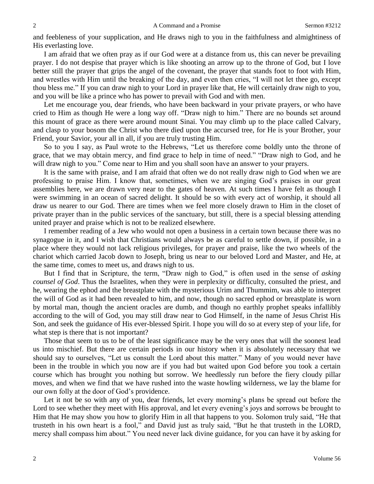and feebleness of your supplication, and He draws nigh to you in the faithfulness and almightiness of His everlasting love.

I am afraid that we often pray as if our God were at a distance from us, this can never be prevailing prayer. I do not despise that prayer which is like shooting an arrow up to the throne of God, but I love better still the prayer that grips the angel of the covenant, the prayer that stands foot to foot with Him, and wrestles with Him until the breaking of the day, and even then cries, "I will not let thee go, except thou bless me." If you can draw nigh to your Lord in prayer like that, He will certainly draw nigh to you, and you will be like a prince who has power to prevail with God and with men.

Let me encourage you, dear friends, who have been backward in your private prayers, or who have cried to Him as though He were a long way off. "Draw nigh to him." There are no bounds set around this mount of grace as there were around mount Sinai. You may climb up to the place called Calvary, and clasp to your bosom the Christ who there died upon the accursed tree, for He is your Brother, your Friend, your Savior, your all in all, if you are truly trusting Him.

So to you I say, as Paul wrote to the Hebrews, "Let us therefore come boldly unto the throne of grace, that we may obtain mercy, and find grace to help in time of need." "Draw nigh to God, and he will draw nigh to you." Come near to Him and you shall soon have an answer to your prayers.

It is the same with praise, and I am afraid that often we do not really draw nigh to God when we are professing to praise Him. I know that, sometimes, when we are singing God's praises in our great assemblies here, we are drawn very near to the gates of heaven. At such times I have felt as though I were swimming in an ocean of sacred delight. It should be so with every act of worship, it should all draw us nearer to our God. There are times when we feel more closely drawn to Him in the closet of private prayer than in the public services of the sanctuary, but still, there is a special blessing attending united prayer and praise which is not to be realized elsewhere.

I remember reading of a Jew who would not open a business in a certain town because there was no synagogue in it, and I wish that Christians would always be as careful to settle down, if possible, in a place where they would not lack religious privileges, for prayer and praise, like the two wheels of the chariot which carried Jacob down to Joseph, bring us near to our beloved Lord and Master, and He, at the same time, comes to meet us, and draws nigh to us.

But I find that in Scripture, the term, "Draw nigh to God," is often used in the sense of *asking counsel of God*. Thus the Israelites, when they were in perplexity or difficulty, consulted the priest, and he, wearing the ephod and the breastplate with the mysterious Urim and Thummim, was able to interpret the will of God as it had been revealed to him, and now, though no sacred ephod or breastplate is worn by mortal man, though the ancient oracles are dumb, and though no earthly prophet speaks infallibly according to the will of God, you may still draw near to God Himself, in the name of Jesus Christ His Son, and seek the guidance of His ever-blessed Spirit. I hope you will do so at every step of your life, for what step is there that is not important?

Those that seem to us to be of the least significance may be the very ones that will the soonest lead us into mischief. But there are certain periods in our history when it is absolutely necessary that we should say to ourselves, "Let us consult the Lord about this matter." Many of you would never have been in the trouble in which you now are if you had but waited upon God before you took a certain course which has brought you nothing but sorrow. We heedlessly run before the fiery cloudy pillar moves, and when we find that we have rushed into the waste howling wilderness, we lay the blame for our own folly at the door of God's providence.

Let it not be so with any of you, dear friends, let every morning's plans be spread out before the Lord to see whether they meet with His approval, and let every evening's joys and sorrows be brought to Him that He may show you how to glorify Him in all that happens to you. Solomon truly said, "He that trusteth in his own heart is a fool," and David just as truly said, "But he that trusteth in the LORD, mercy shall compass him about." You need never lack divine guidance, for you can have it by asking for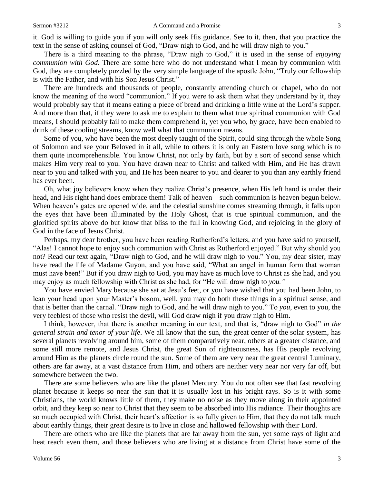it. God is willing to guide you if you will only seek His guidance. See to it, then, that you practice the text in the sense of asking counsel of God, "Draw nigh to God, and he will draw nigh to you."

There is a third meaning to the phrase, "Draw nigh to God," it is used in the sense of *enjoying communion with God*. There are some here who do not understand what I mean by communion with God, they are completely puzzled by the very simple language of the apostle John, "Truly our fellowship is with the Father, and with his Son Jesus Christ."

There are hundreds and thousands of people, constantly attending church or chapel, who do not know the meaning of the word "communion." If you were to ask them what they understand by it, they would probably say that it means eating a piece of bread and drinking a little wine at the Lord's supper. And more than that, if they were to ask me to explain to them what true spiritual communion with God means, I should probably fail to make them comprehend it, yet you who, by grace, have been enabled to drink of these cooling streams, know well what that communion means.

Some of you, who have been the most deeply taught of the Spirit, could sing through the whole Song of Solomon and see your Beloved in it all, while to others it is only an Eastern love song which is to them quite incomprehensible. You know Christ, not only by faith, but by a sort of second sense which makes Him very real to you. You have drawn near to Christ and talked with Him, and He has drawn near to you and talked with you, and He has been nearer to you and dearer to you than any earthly friend has ever been.

Oh, what joy believers know when they realize Christ's presence, when His left hand is under their head, and His right hand does embrace them! Talk of heaven—such communion is heaven begun below. When heaven's gates are opened wide, and the celestial sunshine comes streaming through, it falls upon the eyes that have been illuminated by the Holy Ghost, that is true spiritual communion, and the glorified spirits above do but know that bliss to the full in knowing God, and rejoicing in the glory of God in the face of Jesus Christ.

Perhaps, my dear brother, you have been reading Rutherford's letters, and you have said to yourself, "Alas! I cannot hope to enjoy such communion with Christ as Rutherford enjoyed." But why should you not? Read our text again, "Draw nigh to God, and he will draw nigh to you." You, my dear sister, may have read the life of Madame Guyon, and you have said, "What an angel in human form that woman must have been!" But if you draw nigh to God, you may have as much love to Christ as she had, and you may enjoy as much fellowship with Christ as she had, for "He will draw nigh to *you."*

You have envied Mary because she sat at Jesu's feet, or you have wished that you had been John, to lean your head upon your Master's bosom, well, you may do both these things in a spiritual sense, and that is better than the carnal. "Draw nigh to God, and he will draw nigh to you." To *you*, even to you, the very feeblest of those who resist the devil, will God draw nigh if you draw nigh to Him.

I think, however, that there is another meaning in our text, and that is, "draw nigh to God" *in the general strain and tenor of your life*. We all know that the sun, the great center of the solar system, has several planets revolving around him, some of them comparatively near, others at a greater distance, and some still more remote, and Jesus Christ, the great Sun of righteousness, has His people revolving around Him as the planets circle round the sun. Some of them are very near the great central Luminary, others are far away, at a vast distance from Him, and others are neither very near nor very far off, but somewhere between the two.

There are some believers who are like the planet Mercury. You do not often see that fast revolving planet because it keeps so near the sun that it is usually lost in his bright rays. So is it with some Christians, the world knows little of them, they make no noise as they move along in their appointed orbit, and they keep so near to Christ that they seem to be absorbed into His radiance. Their thoughts are so much occupied with Christ, their heart's affection is so fully given to Him, that they do not talk much about earthly things, their great desire is to live in close and hallowed fellowship with their Lord.

There are others who are like the planets that are far away from the sun, yet some rays of light and heat reach even them, and those believers who are living at a distance from Christ have some of the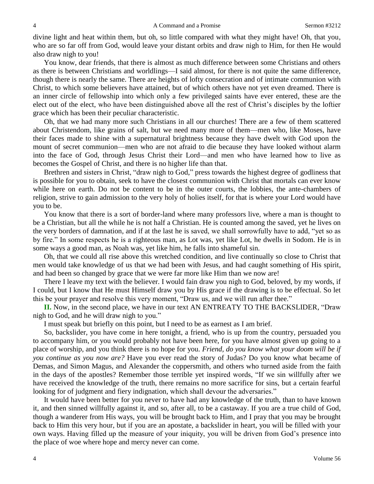divine light and heat within them, but oh, so little compared with what they might have! Oh, that you, who are so far off from God, would leave your distant orbits and draw nigh to Him, for then He would also draw nigh to you!

You know, dear friends, that there is almost as much difference between some Christians and others as there is between Christians and worldlings—I said almost, for there is not quite the same difference, though there is nearly the same. There are heights of lofty consecration and of intimate communion with Christ, to which some believers have attained, but of which others have not yet even dreamed. There is an inner circle of fellowship into which only a few privileged saints have ever entered, these are the elect out of the elect, who have been distinguished above all the rest of Christ's disciples by the loftier grace which has been their peculiar characteristic.

Oh, that we had many more such Christians in all our churches! There are a few of them scattered about Christendom, like grains of salt, but we need many more of them—men who, like Moses, have their faces made to shine with a supernatural brightness because they have dwelt with God upon the mount of secret communion—men who are not afraid to die because they have looked without alarm into the face of God, through Jesus Christ their Lord—and men who have learned how to live as becomes the Gospel of Christ, and there is no higher life than that.

Brethren and sisters in Christ, "draw nigh to God," press towards the highest degree of godliness that is possible for you to obtain, seek to have the closest communion with Christ that mortals can ever know while here on earth. Do not be content to be in the outer courts, the lobbies, the ante-chambers of religion, strive to gain admission to the very holy of holies itself, for that is where your Lord would have you to be.

You know that there is a sort of border-land where many professors live, where a man is thought to be a Christian, but all the while he is not half a Christian. He is counted among the saved, yet he lives on the very borders of damnation, and if at the last he is saved, we shall sorrowfully have to add, "yet so as by fire." In some respects he is a righteous man, as Lot was, yet like Lot, he dwells in Sodom. He is in some ways a good man, as Noah was, yet like him, he falls into shameful sin.

Oh, that we could all rise above this wretched condition, and live continually so close to Christ that men would take knowledge of us that we had been with Jesus, and had caught something of His spirit, and had been so changed by grace that we were far more like Him than we now are!

There I leave my text with the believer. I would fain draw you nigh to God, beloved, by my words, if I could, but I know that He must Himself draw you by His grace if the drawing is to be effectual. So let this be your prayer and resolve this very moment, "Draw us, and we will run after thee."

**II.** Now, in the second place, we have in our text AN ENTREATY TO THE BACKSLIDER, "Draw nigh to God, and he will draw nigh to you."

I must speak but briefly on this point, but I need to be as earnest as I am brief.

So, backslider, you have come in here tonight, a friend, who is up from the country, persuaded you to accompany him, or you would probably not have been here, for you have almost given up going to a place of worship, and you think there is no hope for you. *Friend, do you know what your doom will be if you continue as you now are?* Have you ever read the story of Judas? Do you know what became of Demas, and Simon Magus, and Alexander the coppersmith, and others who turned aside from the faith in the days of the apostles? Remember those terrible yet inspired words, "If we sin willfully after we have received the knowledge of the truth, there remains no more sacrifice for sins, but a certain fearful looking for of judgment and fiery indignation, which shall devour the adversaries."

It would have been better for you never to have had any knowledge of the truth, than to have known it, and then sinned willfully against it, and so, after all, to be a castaway. If you are a true child of God, though a wanderer from His ways, you will be brought back to Him, and I pray that you may be brought back to Him this very hour, but if you are an apostate, a backslider in heart, you will be filled with your own ways. Having filled up the measure of your iniquity, you will be driven from God's presence into the place of woe where hope and mercy never can come.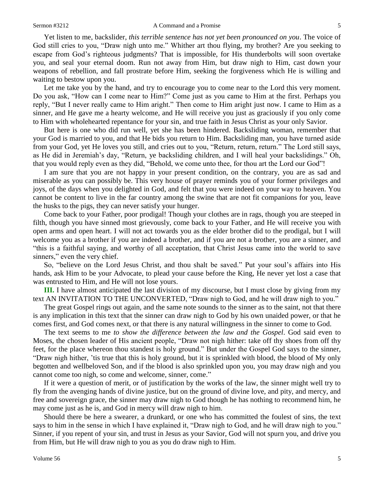Yet listen to me, backslider, *this terrible sentence has not yet been pronounced on you*. The voice of God still cries to you, "Draw nigh unto me." Whither art thou flying, my brother? Are you seeking to escape from God's righteous judgments? That is impossible, for His thunderbolts will soon overtake you, and seal your eternal doom. Run not away from Him, but draw nigh to Him, cast down your weapons of rebellion, and fall prostrate before Him, seeking the forgiveness which He is willing and waiting to bestow upon you.

Let me take you by the hand, and try to encourage you to come near to the Lord this very moment. Do you ask, "How can I come near to Him?" Come just as you came to Him at the first. Perhaps you reply, "But I never really came to Him aright." Then come to Him aright just now. I came to Him as a sinner, and He gave me a hearty welcome, and He will receive you just as graciously if you only come to Him with wholehearted repentance for your sin, and true faith in Jesus Christ as your only Savior.

But here is one who did run well, yet she has been hindered. Backsliding woman, remember that your God is married to you, and that He bids you return to Him. Backsliding man, you have turned aside from your God, yet He loves you still, and cries out to you, "Return, return, return." The Lord still says, as He did in Jeremiah's day, "Return, ye backsliding children, and I will heal your backslidings." Oh, that you would reply even as they did, "Behold, we come unto thee, for thou art the Lord our God"!

I am sure that you are not happy in your present condition, on the contrary, you are as sad and miserable as you can possibly be. This very house of prayer reminds you of your former privileges and joys, of the days when you delighted in God, and felt that you were indeed on your way to heaven. You cannot be content to live in the far country among the swine that are not fit companions for you, leave the husks to the pigs, they can never satisfy your hunger.

Come back to your Father, poor prodigal! Though your clothes are in rags, though you are steeped in filth, though you have sinned most grievously, come back to your Father, and He will receive you with open arms and open heart. I will not act towards you as the elder brother did to the prodigal, but I will welcome you as a brother if you are indeed a brother, and if you are not a brother, you are a sinner, and "this is a faithful saying, and worthy of all acceptation, that Christ Jesus came into the world to save sinners," even the very chief.

So, "believe on the Lord Jesus Christ, and thou shalt be saved." Put your soul's affairs into His hands, ask Him to be your Advocate, to plead your cause before the King, He never yet lost a case that was entrusted to Him, and He will not lose yours.

**III.** I have almost anticipated the last division of my discourse, but I must close by giving from my text AN INVITATION TO THE UNCONVERTED, "Draw nigh to God, and he will draw nigh to you."

The great Gospel rings out again, and the same note sounds to the sinner as to the saint, not that there is any implication in this text that the sinner can draw nigh to God by his own unaided power, or that he comes first, and God comes next, or that there is any natural willingness in the sinner to come to God.

The text seems to me *to show the difference between the law and the Gospel*. God said even to Moses, the chosen leader of His ancient people, "Draw not nigh hither: take off thy shoes from off thy feet, for the place whereon thou standest is holy ground." But under the Gospel God says to the sinner, "Draw nigh hither, 'tis true that this is holy ground, but it is sprinkled with blood, the blood of My only begotten and wellbeloved Son, and if the blood is also sprinkled upon you, you may draw nigh and you cannot come too nigh, so come and welcome, sinner, come."

If it were a question of merit, or of justification by the works of the law, the sinner might well try to fly from the avenging hands of divine justice, but on the ground of divine love, and pity, and mercy, and free and sovereign grace, the sinner may draw nigh to God though he has nothing to recommend him, he may come just as he is, and God in mercy will draw nigh to him.

Should there be here a swearer, a drunkard, or one who has committed the foulest of sins, the text says to him in the sense in which I have explained it, "Draw nigh to God, and he will draw nigh to you." Sinner, if you repent of your sin, and trust in Jesus as your Savior, God will not spurn you, and drive you from Him, but He will draw nigh to you as you do draw nigh to Him.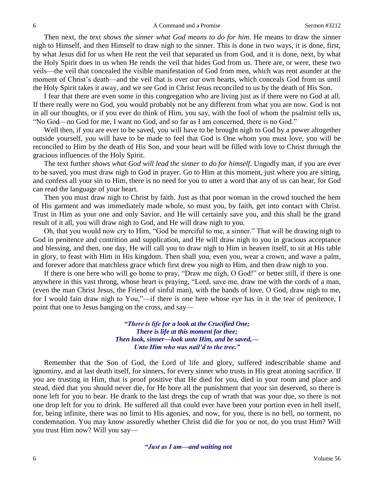Then next, the text *shows the sinner what God means to do for him*. He means to draw the sinner nigh to Himself, and then Himself to draw nigh to the sinner. This is done in two ways, it is done, first, by what Jesus did for us when He rent the veil that separated us from God, and it is done, next, by what the Holy Spirit does in us when He rends the veil that hides God from us. There are, or were, these two veils—the veil that concealed the visible manifestation of God from men, which was rent asunder at the moment of Christ's death—and the veil that is over our own hearts, which conceals God from us until the Holy Spirit takes it away, and we see God in Christ Jesus reconciled to us by the death of His Son.

I fear that there are even some in this congregation who are living just as if there were no God at all. If there really were no God, you would probably not be any different from what you are now. God is not in all our thoughts, or if you ever do think of Him, you say, with the fool of whom the psalmist tells us, "No God—no God for me, I want no God, and so far as I am concerned, there is no God."

Well then, if you are ever to be saved, you will have to be brought nigh to God by a power altogether outside yourself, you will have to be made to feel that God is One whom you must love, you will be reconciled to Him by the death of His Son, and your heart will be filled with love to Christ through the gracious influences of the Holy Spirit.

The text further *shows what God will lead the sinner to do for himself*. Ungodly man, if you are ever to be saved, you must draw nigh to God in prayer. Go to Him at this moment, just where you are sitting, and confess all your sin to Him, there is no need for you to utter a word that any of us can hear, for God can read the language of your heart.

Then you must draw nigh to Christ by faith. Just as that poor woman in the crowd touched the hem of His garment and was immediately made whole, so must you, by faith, get into contact with Christ. Trust in Him as your one and only Savior, and He will certainly save you, and this shall be the grand result of it all, you will draw nigh to God, and He will draw nigh to you.

Oh, that you would now cry to Him, "God be merciful to me, a sinner." That will be drawing nigh to God in penitence and contrition and supplication, and He will draw nigh to you in gracious acceptance and blessing, and then, one day, He will call you to draw nigh to Him in heaven itself, to sit at His table in glory, to feast with Him in His kingdom. Then shall you, even you, wear a crown, and wave a palm, and forever adore that matchless grace which first drew you nigh to Him, and then draw nigh to you.

If there is one here who will go home to pray, "Draw me nigh, O God!" or better still, if there is one anywhere in this vast throng, whose heart is praying, "Lord, save me, draw me with the cords of a man, (even the man Christ Jesus, the Friend of sinful man), with the bands of love, O God, draw nigh to me, for I would fain draw nigh to You,"—if there is one here whose eye has in it the tear of penitence, I point that one to Jesus hanging on the cross, and say—

> *"There is life for a look at the Crucified One; There is life at this moment for thee; Then look, sinner—look unto Him, and be saved,— Unto Him who was nail'd to the tree."*

Remember that the Son of God, the Lord of life and glory, suffered indescribable shame and ignominy, and at last death itself, for sinners, for every sinner who trusts in His great atoning sacrifice. If you are trusting in Him, that is proof positive that He died for you, died in your room and place and stead, died that you should never die, for He bore all the punishment that your sin deserved, so there is none left for you to bear. He drank to the last dregs the cup of wrath that was your due, so there is not one drop left for you to drink. He suffered all that could ever have been your portion even in hell itself, for, being infinite, there was no limit to His agonies, and now, for you, there is no hell, no torment, no condemnation. You may know assuredly whether Christ did die for you or not, do you trust Him? Will you trust Him now? Will you say—

*"Just as I am—and waiting not*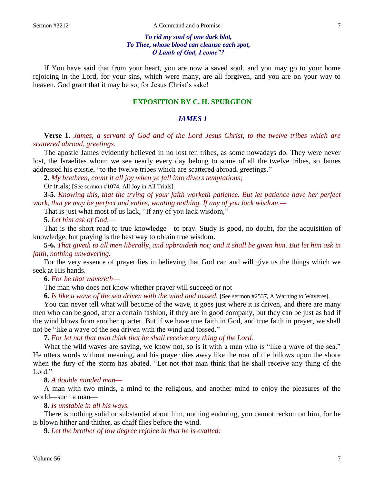### *To rid my soul of one dark blot, To Thee, whose blood can cleanse each spot, O Lamb of God, I come"?*

If You have said that from your heart, you are now a saved soul, and you may go to your home rejoicing in the Lord, for your sins, which were many, are all forgiven, and you are on your way to heaven. God grant that it may be so, for Jesus Christ's sake!

## **EXPOSITION BY C. H. SPURGEON**

## *JAMES 1*

**Verse 1.** *James, a servant of God and of the Lord Jesus Christ, to the twelve tribes which are scattered abroad, greetings.* 

The apostle James evidently believed in no lost ten tribes, as some nowadays do. They were never lost, the Israelites whom we see nearly every day belong to some of all the twelve tribes, so James addressed his epistle, "to the twelve tribes which are scattered abroad, greetings."

**2.** *My brethren, count it all joy when ye fall into divers temptations;*

Or trials; [See sermon #1074, All Joy in All Trials].

**3-5.** *Knowing this, that the trying of your faith worketh patience. But let patience have her perfect work, that ye may be perfect and entire, wanting nothing. If any of you lack wisdom,—*

That is just what most of us lack, "If any of you lack wisdom,"—

**5.** *Let him ask of God,—*

That is the short road to true knowledge—to pray. Study is good, no doubt, for the acquisition of knowledge, but praying is the best way to obtain true wisdom.

**5-6.** *That giveth to all men liberally, and upbraideth not; and it shall be given him. But let him ask in faith, nothing unwavering.*

For the very essence of prayer lies in believing that God can and will give us the things which we seek at His hands.

**6.** *For he that wavereth—*

The man who does not know whether prayer will succeed or not—

**6.** *Is like a wave of the sea driven with the wind and tossed.* [See sermon #2537, A Warning to Waveres].

You can never tell what will become of the wave, it goes just where it is driven, and there are many men who can be good, after a certain fashion, if they are in good company, but they can be just as bad if the wind blows from another quarter. But if we have true faith in God, and true faith in prayer, we shall not be "like a wave of the sea driven with the wind and tossed."

**7.** *For let not that man think that he shall receive any thing of the Lord.*

What the wild waves are saying, we know not, so is it with a man who is "like a wave of the sea." He utters words without meaning, and his prayer dies away like the roar of the billows upon the shore when the fury of the storm has abated. "Let not that man think that he shall receive any thing of the Lord."

**8.** *A double minded man—*

A man with two minds, a mind to the religious, and another mind to enjoy the pleasures of the world—such a man—

**8.** *Is unstable in all his ways.*

There is nothing solid or substantial about him, nothing enduring, you cannot reckon on him, for he is blown hither and thither, as chaff flies before the wind.

**9.** *Let the brother of low degree rejoice in that he is exalted:*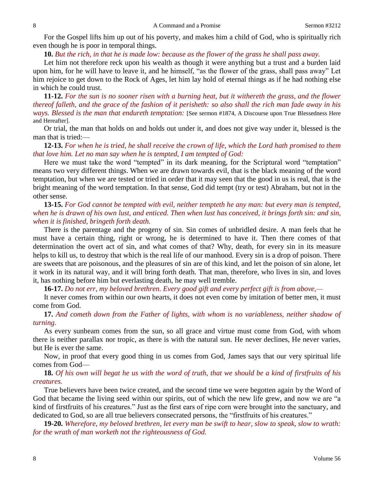For the Gospel lifts him up out of his poverty, and makes him a child of God, who is spiritually rich even though he is poor in temporal things.

**10.** *But the rich, in that he is made low: because as the flower of the grass he shall pass away.*

Let him not therefore reck upon his wealth as though it were anything but a trust and a burden laid upon him, for he will have to leave it, and he himself, "as the flower of the grass, shall pass away" Let him rejoice to get down to the Rock of Ages, let him lay hold of eternal things as if he had nothing else in which he could trust.

**11-12.** *For the sun is no sooner risen with a burning heat, but it withereth the grass, and the flower thereof falleth, and the grace of the fashion of it perisheth: so also shall the rich man fade away in his ways. Blessed is the man that endureth temptation:* [See sermon #1874, A Discourse upon True Blessedness Here and Hereafter].

Or trial, the man that holds on and holds out under it, and does not give way under it, blessed is the man that is tried:—

## **12-13.** *For when he is tried, he shall receive the crown of life, which the Lord hath promised to them that love him. Let no man say when he is tempted, I am tempted of God:*

Here we must take the word "tempted" in its dark meaning, for the Scriptural word "temptation" means two very different things. When we are drawn towards evil, that is the black meaning of the word temptation, but when we are tested or tried in order that it may seen that the good in us is real, that is the bright meaning of the word temptation. In that sense, God did tempt (try or test) Abraham, but not in the other sense.

**13-15.** *For God cannot be tempted with evil, neither tempteth he any man: but every man is tempted, when he is drawn of his own lust, and enticed. Then when lust has conceived, it brings forth sin: and sin, when it is finished, bringeth forth death.*

There is the parentage and the progeny of sin. Sin comes of unbridled desire. A man feels that he must have a certain thing, right or wrong, he is determined to have it. Then there comes of that determination the overt act of sin, and what comes of that? Why, death, for every sin in its measure helps to kill us, to destroy that which is the real life of our manhood. Every sin is a drop of poison. There are sweets that are poisonous, and the pleasures of sin are of this kind, and let the poison of sin alone, let it work in its natural way, and it will bring forth death. That man, therefore, who lives in sin, and loves it, has nothing before him but everlasting death, he may well tremble.

**16-17.** *Do not err, my beloved brethren. Every good gift and every perfect gift is from above,—*

It never comes from within our own hearts, it does not even come by imitation of better men, it must come from God.

**17.** *And cometh down from the Father of lights, with whom is no variableness, neither shadow of turning.*

As every sunbeam comes from the sun, so all grace and virtue must come from God, with whom there is neither parallax nor tropic, as there is with the natural sun. He never declines, He never varies, but He is ever the same.

Now, in proof that every good thing in us comes from God, James says that our very spiritual life comes from God—

## **18.** *Of his own will begat he us with the word of truth, that we should be a kind of firstfruits of his creatures.*

True believers have been twice created, and the second time we were begotten again by the Word of God that became the living seed within our spirits, out of which the new life grew, and now we are "a kind of firstfruits of his creatures." Just as the first ears of ripe corn were brought into the sanctuary, and dedicated to God, so are all true believers consecrated persons, the "firstfruits of his creatures."

**19-20.** *Wherefore, my beloved brethren, let every man be swift to hear, slow to speak, slow to wrath: for the wrath of man worketh not the righteousness of God.*